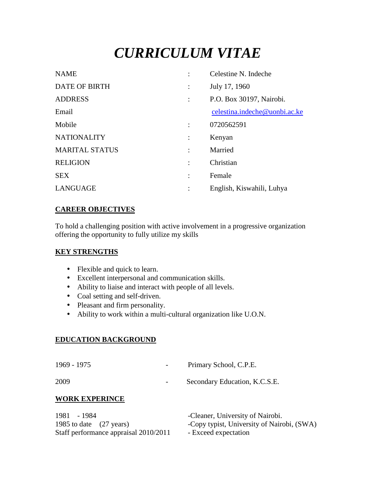# *CURRICULUM VITAE*

| <b>NAME</b>           |                      | Celestine N. Indeche          |
|-----------------------|----------------------|-------------------------------|
| <b>DATE OF BIRTH</b>  | $\ddot{\phantom{a}}$ | July 17, 1960                 |
| <b>ADDRESS</b>        | $\ddot{\cdot}$       | P.O. Box 30197, Nairobi.      |
| Email                 |                      | celestina.indeche@uonbi.ac.ke |
| Mobile                |                      | 0720562591                    |
| <b>NATIONALITY</b>    | $\ddot{\phantom{a}}$ | Kenyan                        |
| <b>MARITAL STATUS</b> | $\ddot{\phantom{a}}$ | Married                       |
| <b>RELIGION</b>       | $\ddot{\cdot}$       | Christian                     |
| <b>SEX</b>            | $\ddot{\cdot}$       | Female                        |
| LANGUAGE              | ÷                    | English, Kiswahili, Luhya     |

#### **CAREER OBJECTIVES**

To hold a challenging position with active involvement in a progressive organization offering the opportunity to fully utilize my skills

#### **KEY STRENGTHS**

- Flexible and quick to learn.
- Excellent interpersonal and communication skills.
- Ability to liaise and interact with people of all levels.
- Coal setting and self-driven.
- Pleasant and firm personality.
- Ability to work within a multi-cultural organization like U.O.N.

#### **EDUCATION BACKGROUND**

| 1969 - 1975 | Primary School, C.P.E. |
|-------------|------------------------|
|             |                        |

2009 - Secondary Education, K.C.S.E.

## **WORK EXPERINCE**

| 1981 - 1984                           | -Cleaner, University of Nairobi.           |
|---------------------------------------|--------------------------------------------|
| 1985 to date (27 years)               | -Copy typist, University of Nairobi, (SWA) |
| Staff performance appraisal 2010/2011 | - Exceed expectation                       |